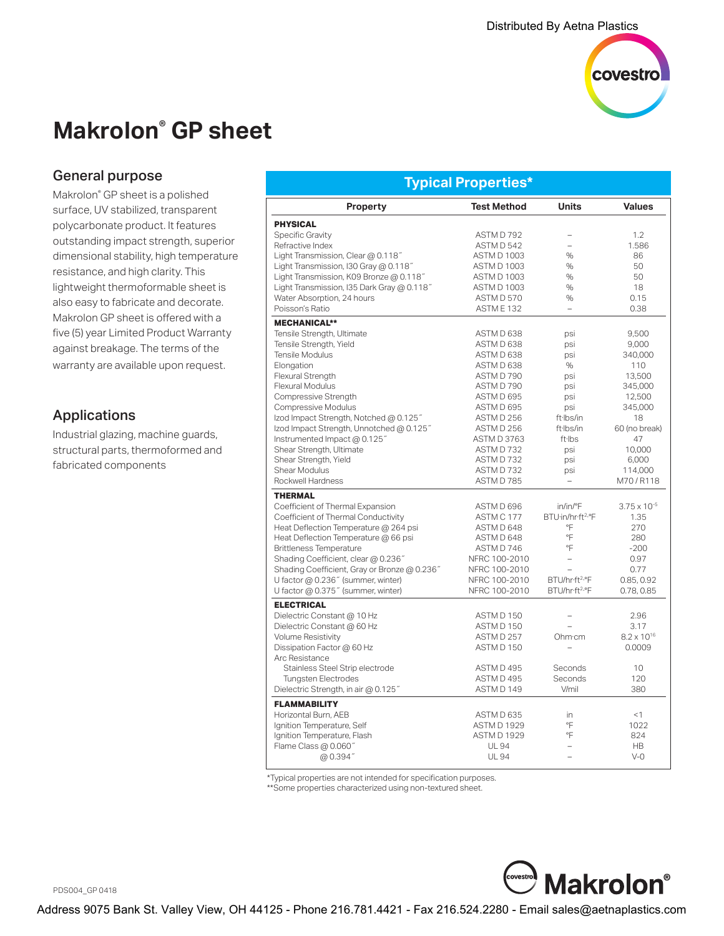

# **Makrolon® GP sheet**

#### General purpose

Makrolon® GP sheet is a polished surface, UV stabilized, transparent polycarbonate product. It features outstanding impact strength, superior dimensional stability, high temperature resistance, and high clarity. This lightweight thermoformable sheet is also easy to fabricate and decorate. Makrolon GP sheet is offered with a five (5) year Limited Product Warranty against breakage. The terms of the warranty are available upon request.

### Applications

Industrial glazing, machine guards, structural parts, thermoformed and fabricated components

| Typical Properties*                          |                      |                               |                       |  |  |  |
|----------------------------------------------|----------------------|-------------------------------|-----------------------|--|--|--|
| <b>Property</b>                              | <b>Test Method</b>   | <b>Units</b>                  | <b>Values</b>         |  |  |  |
| <b>PHYSICAL</b>                              |                      |                               |                       |  |  |  |
| Specific Gravity                             | ASTM D 792           |                               | 1.2                   |  |  |  |
| Refractive Index                             | ASTM D 542           |                               | 1.586                 |  |  |  |
| Light Transmission, Clear @ 0.118"           | <b>ASTM D 1003</b>   | %                             | 86                    |  |  |  |
| Light Transmission, I30 Gray @ 0.118"        | <b>ASTM D 1003</b>   | $\%$                          | 50                    |  |  |  |
| Light Transmission, K09 Bronze @ 0.118"      | <b>ASTM D 1003</b>   | $\%$                          | 50                    |  |  |  |
| Light Transmission, I35 Dark Gray @ 0.118"   | <b>ASTM D 1003</b>   | %                             | 18                    |  |  |  |
| Water Absorption, 24 hours                   | ASTM D 570           | $\%$                          | 0.15                  |  |  |  |
| Poisson's Ratio                              | ASTME <sub>132</sub> | $\equiv$                      | 0.38                  |  |  |  |
| <b>MECHANICAL**</b>                          |                      |                               |                       |  |  |  |
| Tensile Strength, Ultimate                   | ASTM D 638           | psi                           | 9,500                 |  |  |  |
| Tensile Strength, Yield                      | ASTM D 638           | psi                           | 9,000                 |  |  |  |
| Tensile Modulus                              | ASTM D 638           | psi                           | 340,000               |  |  |  |
| Elongation                                   | ASTM D 638           | $\%$                          | 110                   |  |  |  |
| <b>Flexural Strength</b>                     | ASTM D 790           | psi                           | 13.500                |  |  |  |
| <b>Flexural Modulus</b>                      | ASTM D 790           | psi                           | 345,000               |  |  |  |
| Compressive Strength                         | ASTM D 695           | psi                           | 12,500                |  |  |  |
| Compressive Modulus                          | ASTM D 695           | psi                           | 345,000               |  |  |  |
| Izod Impact Strength, Notched @ 0.125"       | ASTM D 256           | ft·lbs/in                     | 18                    |  |  |  |
| lzod Impact Strength, Unnotched @ 0.125"     | ASTM D 256           | ft Ibs/in                     | 60 (no break)         |  |  |  |
| Instrumented Impact @ 0.125"                 | ASTM D 3763          | ft·lbs                        | 47                    |  |  |  |
| Shear Strength, Ultimate                     | ASTM D732            | psi                           | 10,000                |  |  |  |
| Shear Strength, Yield                        | ASTM D 732           | psi                           | 6,000                 |  |  |  |
| Shear Modulus                                | ASTM D732            | psi                           | 114,000               |  |  |  |
| Rockwell Hardness                            | ASTM D 785           |                               | M70/R118              |  |  |  |
| <b>THERMAL</b>                               |                      |                               |                       |  |  |  |
| Coefficient of Thermal Expansion             | ASTM D 696           | in/in/°F                      | $3.75 \times 10^{-5}$ |  |  |  |
| Coefficient of Thermal Conductivity          | ASTM C 177           | BTU·in/hr·ft <sup>2.</sup> °F | 1.35                  |  |  |  |
| Heat Deflection Temperature @ 264 psi        | ASTM D 648           | °F                            | 270                   |  |  |  |
| Heat Deflection Temperature @ 66 psi         | ASTM D 648           | °F                            | 280                   |  |  |  |
| <b>Brittleness Temperature</b>               | ASTM D 746           | °F                            | $-200$                |  |  |  |
| Shading Coefficient, clear @ 0.236"          | NFRC 100-2010        | $\overline{a}$                | 0.97                  |  |  |  |
| Shading Coefficient, Gray or Bronze @ 0.236" | NFRC 100-2010        | $\overline{a}$                | 0.77                  |  |  |  |
| U factor @ 0.236" (summer, winter)           | NFRC 100-2010        | BTU/hr·ft <sup>2.</sup> °F    | 0.85, 0.92            |  |  |  |
| U factor @ 0.375" (summer, winter)           | NFRC 100-2010        | BTU/hr·ft <sup>2.</sup> °F    | 0.78, 0.85            |  |  |  |
| <b>ELECTRICAL</b>                            |                      |                               |                       |  |  |  |
| Dielectric Constant @ 10 Hz                  | ASTM D 150           | $\overline{\phantom{0}}$      | 2.96                  |  |  |  |
| Dielectric Constant @ 60 Hz                  | ASTM D 150           |                               | 3.17                  |  |  |  |
| <b>Volume Resistivity</b>                    | ASTM D 257           | Ohm·cm                        | $8.2 \times 10^{16}$  |  |  |  |
| Dissipation Factor @ 60 Hz                   | ASTM D 150           | $\overline{\phantom{0}}$      | 0.0009                |  |  |  |
| Arc Resistance                               |                      |                               |                       |  |  |  |
| Stainless Steel Strip electrode              | ASTM D 495           | Seconds                       | 10                    |  |  |  |
| <b>Tungsten Electrodes</b>                   | ASTM D 495           | Seconds                       | 120                   |  |  |  |
| Dielectric Strength, in air @ 0.125"         | ASTM D 149           | V/mil                         | 380                   |  |  |  |
| <b>FLAMMABILITY</b>                          |                      |                               |                       |  |  |  |
| Horizontal Burn, AEB                         | ASTM D 635           | in                            | <1                    |  |  |  |
| Ignition Temperature, Self                   | <b>ASTM D 1929</b>   | °F                            | 1022                  |  |  |  |
| Ignition Temperature, Flash                  | <b>ASTM D 1929</b>   | °F                            | 824                   |  |  |  |
| Flame Class @ 0.060"                         | <b>UL 94</b>         | $\overline{\phantom{0}}$      | <b>HB</b>             |  |  |  |
| @0.394"                                      | <b>UL 94</b>         | $\overline{a}$                | $V-0$                 |  |  |  |

\*Typical properties are not intended for specification purposes.

\*\*Some properties characterized using non-textured sheet.